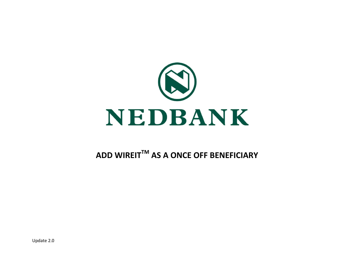

## **ADD WIREITTM AS A ONCE OFF BENEFICIARY**

Update 2.0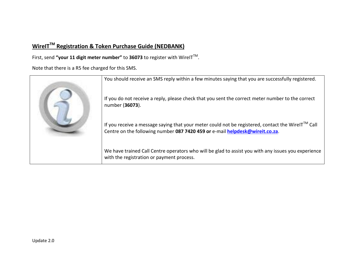## **WireITTM Registration & Token Purchase Guide (NEDBANK)**

First, send **"your 11 digit meter number"** to **36073** to register with WireITTM .

Note that there is a R5 fee charged for this SMS.

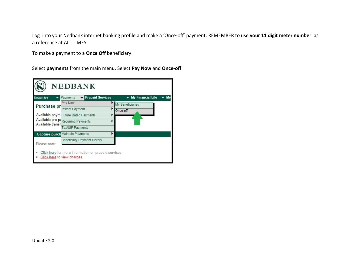Log into your Nedbank internet banking profile and make a 'Once-off' payment. REMEMBER to use **your 11 digit meter number** as a reference at ALL TIMES

To make a payment to a **Once Off** beneficiary:

Select **payments** from the main menu. Select **Pay Now** and **Once-off**

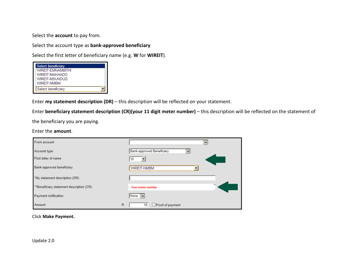Select the **account** to pay from.

Select the account type as **bank-approved beneficiary**

Select the first letter of beneficiary name (e.g. **W** for **WIREIT**).

| Select beneficiary |
|--------------------|
| WIREIT-EMNAMBITHI  |
| WIREIT-MAKHADO     |
| WIRFIT-MSUNDUZI    |
| WIRFIT-NMBM        |
| Select beneficiary |

Enter **my statement description (DR)** – this description will be reflected on your statement.

Enter **beneficiary statement description (CR)(your 11 digit meter number)** – this description will be reflected on the statement of

the beneficiary you are paying.

## Enter the **amount**.

| From account                             |              |                                           | $\checkmark$ |
|------------------------------------------|--------------|-------------------------------------------|--------------|
| Account type                             |              | Bank-approved Beneficiary<br>$\checkmark$ |              |
| First letter of name                     |              | w                                         |              |
| Bank-approved beneficiary                |              | <b>WIREIT-NMBM</b>                        |              |
| *My statement description (DR)           |              |                                           |              |
| **Beneficiary statement description (CR) |              | <b>Your meter number</b>                  |              |
| <b>Payment notification</b>              |              | None $\vert \mathbf{v} \vert$             |              |
| Amount                                   | $\mathsf{R}$ | □ Proof of payment<br>10                  |              |

Click **Make Payment.**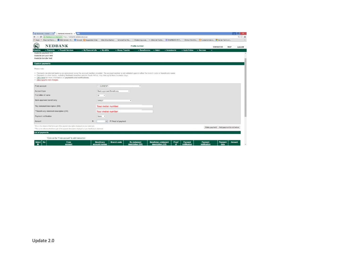| R Nedbank - Home x B Netbank Internet Bar x                                                                                                                                                                                                                                                                                                                     |                                    |                                        |                                                                         |                                        |                                          | $ \blacksquare$ x                                  |
|-----------------------------------------------------------------------------------------------------------------------------------------------------------------------------------------------------------------------------------------------------------------------------------------------------------------------------------------------------------------|------------------------------------|----------------------------------------|-------------------------------------------------------------------------|----------------------------------------|------------------------------------------|----------------------------------------------------|
| C   A Nedbank Limited [ZA] https://netbank.nedsecure.co.za<br>$\leftarrow$ $\rightarrow$                                                                                                                                                                                                                                                                        |                                    |                                        |                                                                         |                                        |                                          | $Q \nleftrightarrow E$                             |
| EEE Xplore - H 8 Google & Supposed Sites   Web Slice Gallery   ScholarOne Ma   Protecting a we ## Ethernet Techn ## ASPBERRY PIT   Python Multithr . 2- Fundamentals o   Server Farm wit                                                                                                                                                                        |                                    |                                        |                                                                         |                                        |                                          |                                                    |
| $\mathbf{R}$<br><b>NEDBANK</b>                                                                                                                                                                                                                                                                                                                                  |                                    |                                        | Profile number                                                          |                                        |                                          | <b>CONTACT US</b><br><b>HELP</b><br><b>LOG OFF</b> |
| - Prepaid Services<br><b>Enquiries</b><br>- Payments<br>Available payment limit:<br>Available pre-paid limit:<br>Available transfer limit:                                                                                                                                                                                                                      | - My Financial Life<br>- My eBills | - Money Transfer                       | $-$ Admin<br>$\overline{\phantom{a}}$ Beneficiaries                     | $\blacktriangleright$ Investments      | - Apply Online<br><b>v</b> Services<br>٠ |                                                    |
| <b>Capture payments</b>                                                                                                                                                                                                                                                                                                                                         |                                    |                                        |                                                                         |                                        |                                          |                                                    |
| Please note:                                                                                                                                                                                                                                                                                                                                                    |                                    |                                        |                                                                         |                                        |                                          |                                                    |
| . Payments via internet banking are processed using the account number provided. The account number is not validated against either the branch code or beneficiary name.<br>. Payments to other banks, including Nedbank branches outside South Africa, may take up to three business days.<br>. Click here for more information on payments and notifications. |                                    |                                        |                                                                         |                                        |                                          |                                                    |
| - Click here to view charges.                                                                                                                                                                                                                                                                                                                                   |                                    |                                        |                                                                         |                                        |                                          |                                                    |
| From account                                                                                                                                                                                                                                                                                                                                                    | 1. CURRENT -                       |                                        | $^\star$                                                                |                                        |                                          |                                                    |
| Account type                                                                                                                                                                                                                                                                                                                                                    | Bank-approved Beneficiary          | $\pmb{\cdot}$                          |                                                                         |                                        |                                          |                                                    |
| First letter of name                                                                                                                                                                                                                                                                                                                                            | W<br>٠                             |                                        |                                                                         |                                        |                                          |                                                    |
| Bank-approved beneficiary                                                                                                                                                                                                                                                                                                                                       | WIREIT                             | ۰                                      |                                                                         |                                        |                                          |                                                    |
| "My statement description (DR)                                                                                                                                                                                                                                                                                                                                  | Your meter number                  |                                        |                                                                         |                                        |                                          |                                                    |
| ** Beneficiary statement description (CR)                                                                                                                                                                                                                                                                                                                       | Your meter number                  |                                        |                                                                         |                                        |                                          |                                                    |
| Payment notification                                                                                                                                                                                                                                                                                                                                            | None<br>$\bullet$                  |                                        |                                                                         |                                        |                                          |                                                    |
| Amount                                                                                                                                                                                                                                                                                                                                                          | R<br>50                            | Proof of payment                       |                                                                         |                                        |                                          |                                                    |
| "This is the reference that forms part of the payment description displayed on your statement.<br>** This is the reference that forms part of the payment description displayed on your beneficiary's statement.                                                                                                                                                |                                    |                                        |                                                                         |                                        |                                          | Make payment Add payment to list below             |
| <b>List of payments</b>                                                                                                                                                                                                                                                                                                                                         |                                    |                                        |                                                                         |                                        |                                          |                                                    |
| "Click on the "From account" to edit transaction.                                                                                                                                                                                                                                                                                                               |                                    |                                        |                                                                         |                                        |                                          |                                                    |
| $No$<br><u>Select</u><br><b>From</b><br>account                                                                                                                                                                                                                                                                                                                 | Beneficiary<br>account number      | <b>Branch code</b><br>description (DR) | <b>Beneficiary statement</b><br><b>My statement</b><br>description (CR) | Proof<br>Payment<br>of<br>notification | Payment<br>notification                  | Payment<br><b>Amount</b><br>date                   |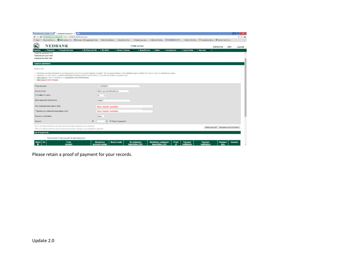|                                                                                                               | ← → C   A Nedbank Limited [ZA] https://netbank.nedsecure.co.za<br>Hi Apps DL Maximal Ratio  E IEEE Xplore - H & Google   Suggested Sites   Web Slice Gallery   ScholarOne Ma   Protecting a we ## Ethernet Techn   RASPBERRY PIT   Python Multithr & Fundamentals o " Se                    | $Q \nleftrightarrow E$ |
|---------------------------------------------------------------------------------------------------------------|---------------------------------------------------------------------------------------------------------------------------------------------------------------------------------------------------------------------------------------------------------------------------------------------|------------------------|
|                                                                                                               |                                                                                                                                                                                                                                                                                             |                        |
| $\infty$<br><b>NEDBANK</b>                                                                                    | Profile number<br><b>CONTACT US</b><br><b>HELP</b>                                                                                                                                                                                                                                          | <b>LOG OFF</b>         |
| - Prepaid Services<br>- Payments<br><b>Enquiries</b><br>Available payment limit:<br>Available pre-paid limit: | - My Financial Life<br>- My eBills<br>- Money Transfer<br>$\div$ Beneficiaries<br>$\div$ Admin<br>$\blacktriangleright$ Investments<br>- Apply Online<br>- Services<br>٠                                                                                                                    |                        |
| Available transfer limit:<br><b>Capture payments</b>                                                          |                                                                                                                                                                                                                                                                                             |                        |
| Please note:                                                                                                  |                                                                                                                                                                                                                                                                                             |                        |
|                                                                                                               |                                                                                                                                                                                                                                                                                             |                        |
|                                                                                                               | . Payments via internet banking are processed using the account number provided. The account number is not validated against either the branch code or beneficiary name.<br>. Payments to other banks, including Nedbank branches outside South Africa, may take up to three business days. |                        |
| · Click here for more information on payments and notifications.                                              |                                                                                                                                                                                                                                                                                             |                        |
| - Click here to view charges.                                                                                 |                                                                                                                                                                                                                                                                                             |                        |
|                                                                                                               | $\bullet$                                                                                                                                                                                                                                                                                   |                        |
| From account                                                                                                  | 1. CURRENT -                                                                                                                                                                                                                                                                                |                        |
| Account type                                                                                                  | Bank-approved Beneficiary<br>$\bullet$                                                                                                                                                                                                                                                      |                        |
| First letter of name                                                                                          | W<br>$\mathbf{v}$                                                                                                                                                                                                                                                                           |                        |
|                                                                                                               |                                                                                                                                                                                                                                                                                             |                        |
| Bank-approved beneficiary                                                                                     | WIREIT<br>$\bullet$                                                                                                                                                                                                                                                                         |                        |
| "My statement description (DR)                                                                                | Your meter number                                                                                                                                                                                                                                                                           |                        |
|                                                                                                               |                                                                                                                                                                                                                                                                                             |                        |
| **Beneficiary statement description (CR)                                                                      | Your meter number                                                                                                                                                                                                                                                                           |                        |
|                                                                                                               | None<br>٠                                                                                                                                                                                                                                                                                   |                        |
| Payment notification                                                                                          |                                                                                                                                                                                                                                                                                             |                        |
|                                                                                                               |                                                                                                                                                                                                                                                                                             |                        |
| Amount                                                                                                        | R<br>50 Proof of payment                                                                                                                                                                                                                                                                    |                        |
| "This is the reference that forms part of the payment description displayed on your statement.                |                                                                                                                                                                                                                                                                                             |                        |
| **This is the reference that forms part of the payment description displayed on your beneficiary's statement. | Add payment to list below<br>Make payment                                                                                                                                                                                                                                                   |                        |
| <b>List of payments</b>                                                                                       |                                                                                                                                                                                                                                                                                             |                        |

Please retain a proof of payment for your records.